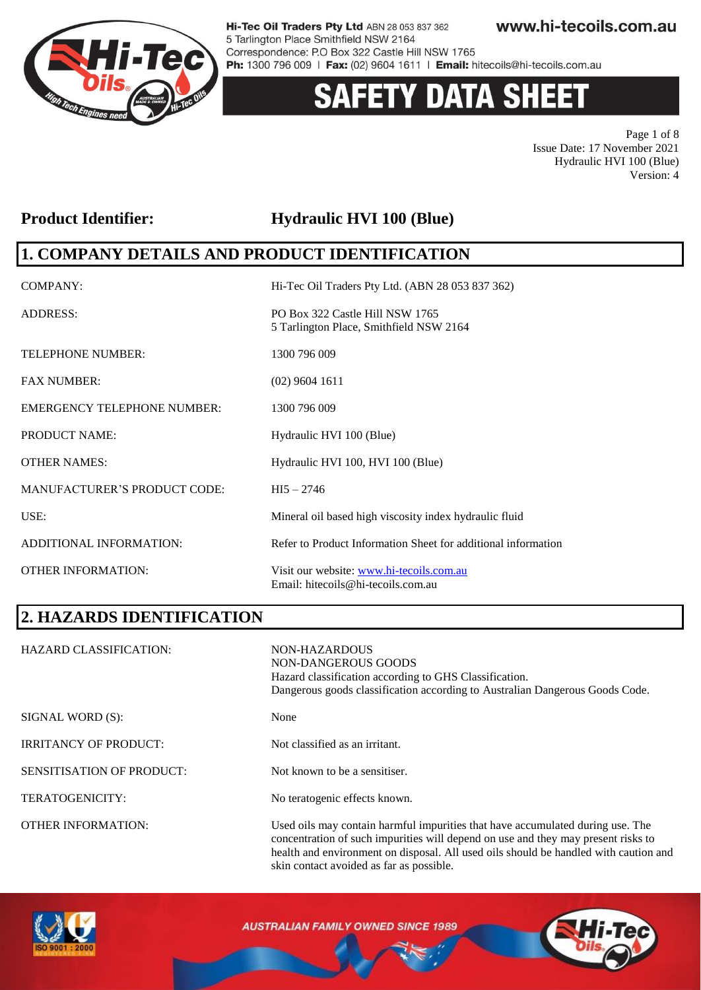

# **ETY DATA SHEET**

Page 1 of 8 Issue Date: 17 November 2021 Hydraulic HVI 100 (Blue) Version: 4

### Product Identifier: **Hydraulic HVI 100 (Blue)**

### **1. COMPANY DETAILS AND PRODUCT IDENTIFICATION**

| <b>COMPANY:</b>                     | Hi-Tec Oil Traders Pty Ltd. (ABN 28 053 837 362)                               |
|-------------------------------------|--------------------------------------------------------------------------------|
| <b>ADDRESS:</b>                     | PO Box 322 Castle Hill NSW 1765<br>5 Tarlington Place, Smithfield NSW 2164     |
| <b>TELEPHONE NUMBER:</b>            | 1300 796 009                                                                   |
| <b>FAX NUMBER:</b>                  | $(02)$ 9604 1611                                                               |
| <b>EMERGENCY TELEPHONE NUMBER:</b>  | 1300 796 009                                                                   |
| <b>PRODUCT NAME:</b>                | Hydraulic HVI 100 (Blue)                                                       |
| <b>OTHER NAMES:</b>                 | Hydraulic HVI 100, HVI 100 (Blue)                                              |
| <b>MANUFACTURER'S PRODUCT CODE:</b> | $HI5 - 2746$                                                                   |
| USE:                                | Mineral oil based high viscosity index hydraulic fluid                         |
| ADDITIONAL INFORMATION:             | Refer to Product Information Sheet for additional information                  |
| <b>OTHER INFORMATION:</b>           | Visit our website: www.hi-tecoils.com.au<br>Email: hitecoils@hi-tecoils.com.au |

## **2. HAZARDS IDENTIFICATION**

| <b>HAZARD CLASSIFICATION:</b>    | NON-HAZARDOUS<br>NON-DANGEROUS GOODS<br>Hazard classification according to GHS Classification.<br>Dangerous goods classification according to Australian Dangerous Goods Code.                                                                              |
|----------------------------------|-------------------------------------------------------------------------------------------------------------------------------------------------------------------------------------------------------------------------------------------------------------|
| SIGNAL WORD (S):                 | None                                                                                                                                                                                                                                                        |
| <b>IRRITANCY OF PRODUCT:</b>     | Not classified as an irritant.                                                                                                                                                                                                                              |
| <b>SENSITISATION OF PRODUCT:</b> | Not known to be a sensitiser.                                                                                                                                                                                                                               |
| TERATOGENICITY:                  | No teratogenic effects known.                                                                                                                                                                                                                               |
| <b>OTHER INFORMATION:</b>        | Used oils may contain harmful impurities that have accumulated during use. The<br>concentration of such impurities will depend on use and they may present risks to<br>health and environment on disposal. All used oils should be handled with caution and |



**AUSTRALIAN FAMILY OWNED SINCE 1989** 

skin contact avoided as far as possible.

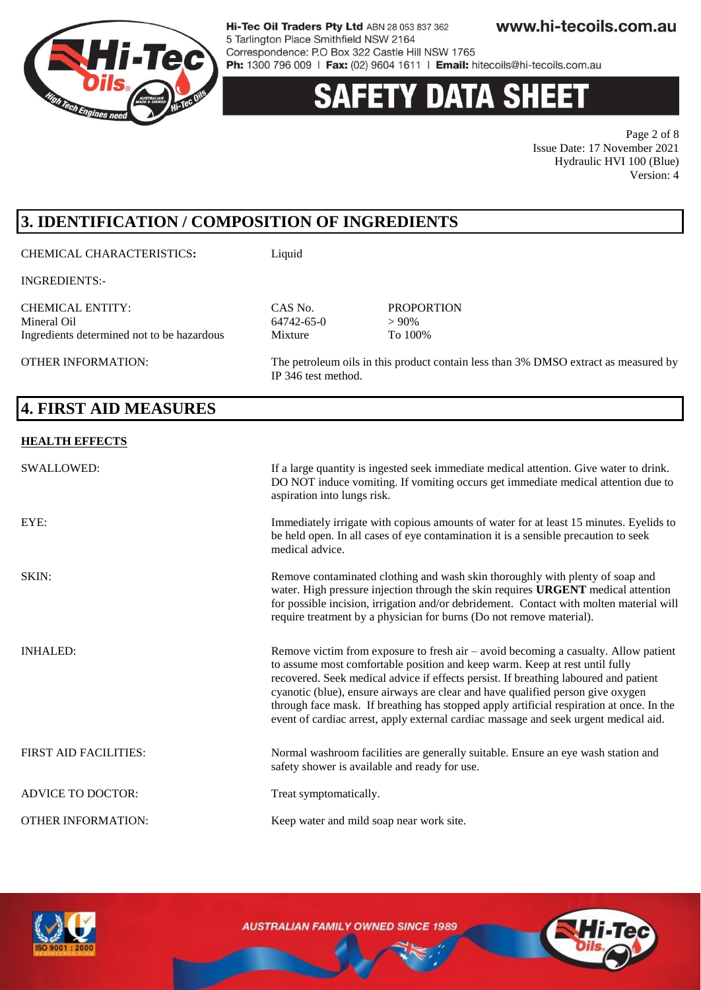

# **Y DATA SHEE**

Page 2 of 8 Issue Date: 17 November 2021 Hydraulic HVI 100 (Blue) Version: 4

## **3. IDENTIFICATION / COMPOSITION OF INGREDIENTS**

CHEMICAL CHARACTERISTICS**:** Liquid

INGREDIENTS:-

CHEMICAL ENTITY: CAS No. PROPORTION Mineral Oil 64742-65-0 > 90% Ingredients determined not to be hazardous Mixture To 100%

OTHER INFORMATION: The petroleum oils in this product contain less than 3% DMSO extract as measured by IP 346 test method.

# **4. FIRST AID MEASURES**

#### **HEALTH EFFECTS**

| SWALLOWED:                   | If a large quantity is ingested seek immediate medical attention. Give water to drink.<br>DO NOT induce vomiting. If vomiting occurs get immediate medical attention due to<br>aspiration into lungs risk.                                                                                                                                                                                                                                                                                                                        |
|------------------------------|-----------------------------------------------------------------------------------------------------------------------------------------------------------------------------------------------------------------------------------------------------------------------------------------------------------------------------------------------------------------------------------------------------------------------------------------------------------------------------------------------------------------------------------|
| EYE:                         | Immediately irrigate with copious amounts of water for at least 15 minutes. Eyelids to<br>be held open. In all cases of eye contamination it is a sensible precaution to seek<br>medical advice.                                                                                                                                                                                                                                                                                                                                  |
| SKIN:                        | Remove contaminated clothing and wash skin thoroughly with plenty of soap and<br>water. High pressure injection through the skin requires <b>URGENT</b> medical attention<br>for possible incision, irrigation and/or debridement. Contact with molten material will<br>require treatment by a physician for burns (Do not remove material).                                                                                                                                                                                      |
| <b>INHALED:</b>              | Remove victim from exposure to fresh air - avoid becoming a casualty. Allow patient<br>to assume most comfortable position and keep warm. Keep at rest until fully<br>recovered. Seek medical advice if effects persist. If breathing laboured and patient<br>cyanotic (blue), ensure airways are clear and have qualified person give oxygen<br>through face mask. If breathing has stopped apply artificial respiration at once. In the<br>event of cardiac arrest, apply external cardiac massage and seek urgent medical aid. |
| <b>FIRST AID FACILITIES:</b> | Normal washroom facilities are generally suitable. Ensure an eye wash station and<br>safety shower is available and ready for use.                                                                                                                                                                                                                                                                                                                                                                                                |
| <b>ADVICE TO DOCTOR:</b>     | Treat symptomatically.                                                                                                                                                                                                                                                                                                                                                                                                                                                                                                            |
| <b>OTHER INFORMATION:</b>    | Keep water and mild soap near work site.                                                                                                                                                                                                                                                                                                                                                                                                                                                                                          |

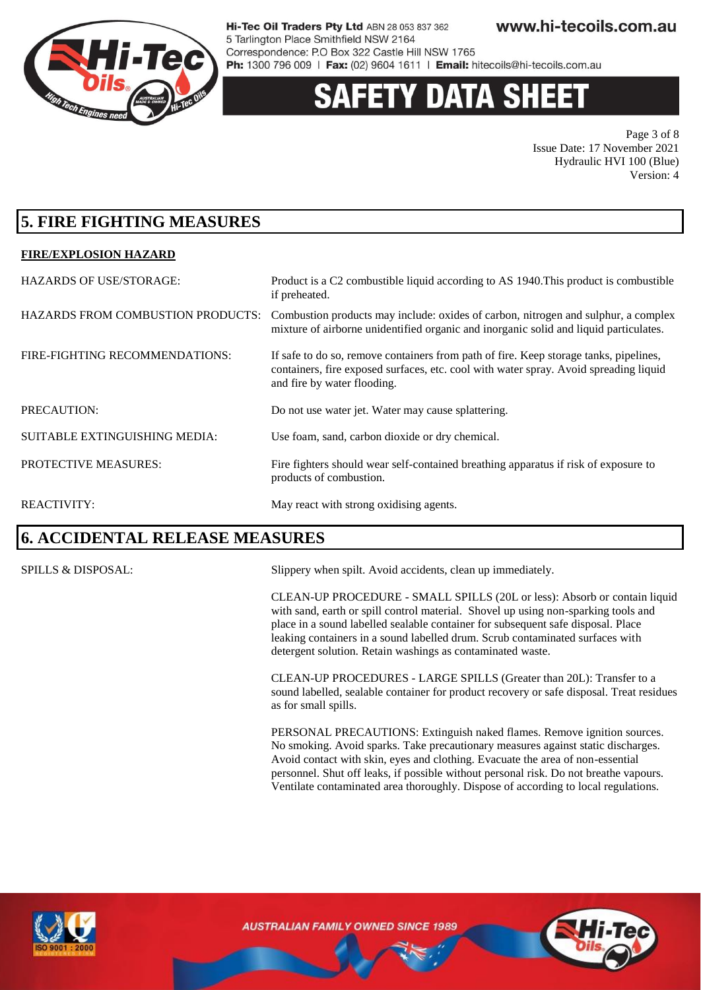

# 'Y DATA SH

Page 3 of 8 Issue Date: 17 November 2021 Hydraulic HVI 100 (Blue) Version: 4

### **5. FIRE FIGHTING MEASURES**

#### **FIRE/EXPLOSION HAZARD**

| <b>HAZARDS OF USE/STORAGE:</b>           | Product is a C2 combustible liquid according to AS 1940. This product is combustible<br>if preheated.                                                                                                         |
|------------------------------------------|---------------------------------------------------------------------------------------------------------------------------------------------------------------------------------------------------------------|
| <b>HAZARDS FROM COMBUSTION PRODUCTS:</b> | Combustion products may include: oxides of carbon, nitrogen and sulphur, a complex<br>mixture of airborne unidentified organic and inorganic solid and liquid particulates.                                   |
| FIRE-FIGHTING RECOMMENDATIONS:           | If safe to do so, remove containers from path of fire. Keep storage tanks, pipelines,<br>containers, fire exposed surfaces, etc. cool with water spray. Avoid spreading liquid<br>and fire by water flooding. |
| PRECAUTION:                              | Do not use water jet. Water may cause splattering.                                                                                                                                                            |
| <b>SUITABLE EXTINGUISHING MEDIA:</b>     | Use foam, sand, carbon dioxide or dry chemical.                                                                                                                                                               |
| PROTECTIVE MEASURES:                     | Fire fighters should wear self-contained breathing apparatus if risk of exposure to<br>products of combustion.                                                                                                |
| <b>REACTIVITY:</b>                       | May react with strong oxidising agents.                                                                                                                                                                       |

### **6. ACCIDENTAL RELEASE MEASURES**

SPILLS & DISPOSAL: Slippery when spilt. Avoid accidents, clean up immediately.

CLEAN-UP PROCEDURE - SMALL SPILLS (20L or less): Absorb or contain liquid with sand, earth or spill control material. Shovel up using non-sparking tools and place in a sound labelled sealable container for subsequent safe disposal. Place leaking containers in a sound labelled drum. Scrub contaminated surfaces with detergent solution. Retain washings as contaminated waste.

CLEAN-UP PROCEDURES - LARGE SPILLS (Greater than 20L): Transfer to a sound labelled, sealable container for product recovery or safe disposal. Treat residues as for small spills.

PERSONAL PRECAUTIONS: Extinguish naked flames. Remove ignition sources. No smoking. Avoid sparks. Take precautionary measures against static discharges. Avoid contact with skin, eyes and clothing. Evacuate the area of non-essential personnel. Shut off leaks, if possible without personal risk. Do not breathe vapours. Ventilate contaminated area thoroughly. Dispose of according to local regulations.



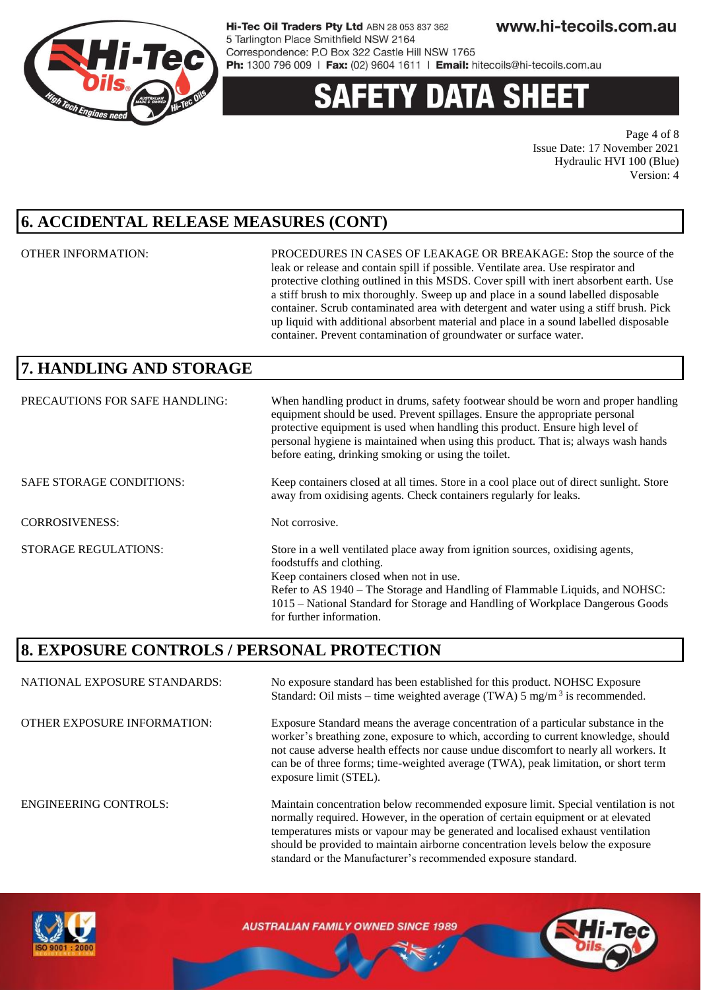

# **ETY DATA SHE**

Page 4 of 8 Issue Date: 17 November 2021 Hydraulic HVI 100 (Blue) Version: 4

### **6. ACCIDENTAL RELEASE MEASURES (CONT)**

OTHER INFORMATION: PROCEDURES IN CASES OF LEAKAGE OR BREAKAGE: Stop the source of the leak or release and contain spill if possible. Ventilate area. Use respirator and protective clothing outlined in this MSDS. Cover spill with inert absorbent earth. Use a stiff brush to mix thoroughly. Sweep up and place in a sound labelled disposable container. Scrub contaminated area with detergent and water using a stiff brush. Pick up liquid with additional absorbent material and place in a sound labelled disposable container. Prevent contamination of groundwater or surface water.

should be provided to maintain airborne concentration levels below the exposure

standard or the Manufacturer's recommended exposure standard.

### **7. HANDLING AND STORAGE**

| PRECAUTIONS FOR SAFE HANDLING:  | When handling product in drums, safety footwear should be worn and proper handling<br>equipment should be used. Prevent spillages. Ensure the appropriate personal<br>protective equipment is used when handling this product. Ensure high level of<br>personal hygiene is maintained when using this product. That is; always wash hands<br>before eating, drinking smoking or using the toilet. |
|---------------------------------|---------------------------------------------------------------------------------------------------------------------------------------------------------------------------------------------------------------------------------------------------------------------------------------------------------------------------------------------------------------------------------------------------|
| <b>SAFE STORAGE CONDITIONS:</b> | Keep containers closed at all times. Store in a cool place out of direct sunlight. Store<br>away from oxidising agents. Check containers regularly for leaks.                                                                                                                                                                                                                                     |
| <b>CORROSIVENESS:</b>           | Not corrosive.                                                                                                                                                                                                                                                                                                                                                                                    |
| <b>STORAGE REGULATIONS:</b>     | Store in a well ventilated place away from ignition sources, oxidising agents,<br>foodstuffs and clothing.<br>Keep containers closed when not in use.<br>Refer to AS 1940 – The Storage and Handling of Flammable Liquids, and NOHSC:<br>1015 – National Standard for Storage and Handling of Workplace Dangerous Goods<br>for further information.                                               |

### **8. EXPOSURE CONTROLS / PERSONAL PROTECTION**

NATIONAL EXPOSURE STANDARDS: No exposure standard has been established for this product. NOHSC Exposure Standard: Oil mists – time weighted average (TWA)  $5 \text{ mg/m}^3$  is recommended. OTHER EXPOSURE INFORMATION: Exposure Standard means the average concentration of a particular substance in the worker's breathing zone, exposure to which, according to current knowledge, should not cause adverse health effects nor cause undue discomfort to nearly all workers. It can be of three forms; time-weighted average (TWA), peak limitation, or short term exposure limit (STEL). ENGINEERING CONTROLS: Maintain concentration below recommended exposure limit. Special ventilation is not normally required. However, in the operation of certain equipment or at elevated temperatures mists or vapour may be generated and localised exhaust ventilation

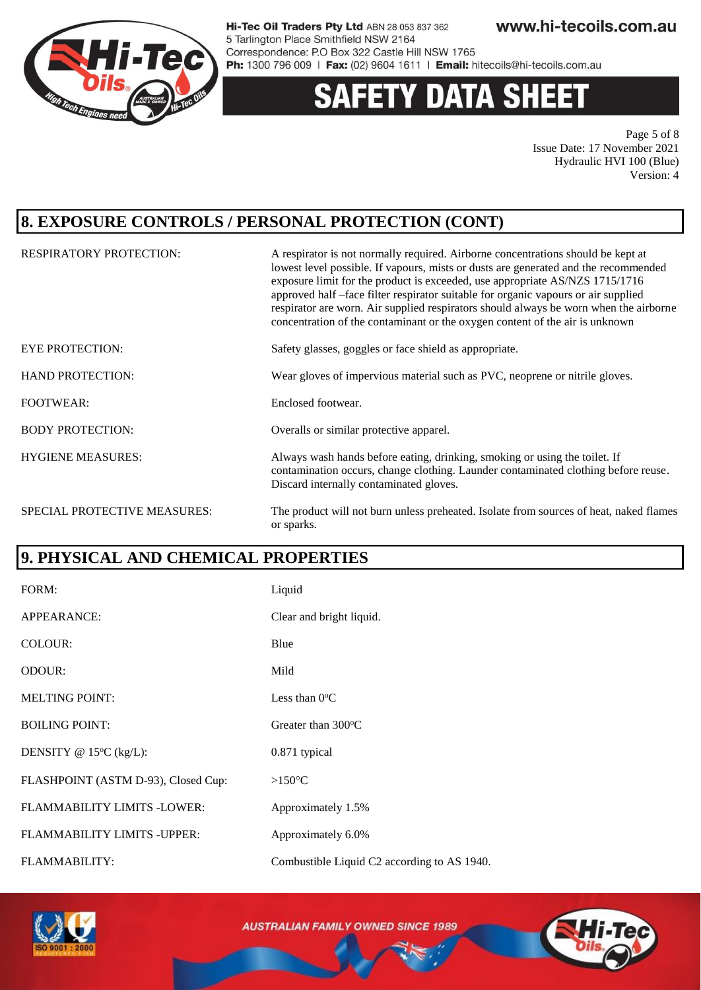

# y data sheet

Page 5 of 8 Issue Date: 17 November 2021 Hydraulic HVI 100 (Blue) Version: 4

### **8. EXPOSURE CONTROLS / PERSONAL PROTECTION (CONT)**

| <b>RESPIRATORY PROTECTION:</b>      | A respirator is not normally required. Airborne concentrations should be kept at<br>lowest level possible. If vapours, mists or dusts are generated and the recommended<br>exposure limit for the product is exceeded, use appropriate AS/NZS 1715/1716<br>approved half -face filter respirator suitable for organic vapours or air supplied<br>respirator are worn. Air supplied respirators should always be worn when the airborne<br>concentration of the contaminant or the oxygen content of the air is unknown |
|-------------------------------------|------------------------------------------------------------------------------------------------------------------------------------------------------------------------------------------------------------------------------------------------------------------------------------------------------------------------------------------------------------------------------------------------------------------------------------------------------------------------------------------------------------------------|
| <b>EYE PROTECTION:</b>              | Safety glasses, goggles or face shield as appropriate.                                                                                                                                                                                                                                                                                                                                                                                                                                                                 |
| <b>HAND PROTECTION:</b>             | Wear gloves of impervious material such as PVC, neoprene or nitrile gloves.                                                                                                                                                                                                                                                                                                                                                                                                                                            |
| <b>FOOTWEAR:</b>                    | Enclosed footwear.                                                                                                                                                                                                                                                                                                                                                                                                                                                                                                     |
| <b>BODY PROTECTION:</b>             | Overalls or similar protective apparel.                                                                                                                                                                                                                                                                                                                                                                                                                                                                                |
| <b>HYGIENE MEASURES:</b>            | Always wash hands before eating, drinking, smoking or using the toilet. If<br>contamination occurs, change clothing. Launder contaminated clothing before reuse.<br>Discard internally contaminated gloves.                                                                                                                                                                                                                                                                                                            |
| <b>SPECIAL PROTECTIVE MEASURES:</b> | The product will not burn unless preheated. Isolate from sources of heat, naked flames<br>or sparks.                                                                                                                                                                                                                                                                                                                                                                                                                   |

### **9. PHYSICAL AND CHEMICAL PROPERTIES**

| FORM:                               | Liquid                                      |
|-------------------------------------|---------------------------------------------|
| APPEARANCE:                         | Clear and bright liquid.                    |
| COLOUR:                             | Blue                                        |
| <b>ODOUR:</b>                       | Mild                                        |
| <b>MELTING POINT:</b>               | Less than $0^{\circ}$ C                     |
| <b>BOILING POINT:</b>               | Greater than $300^{\circ}$ C                |
| DENSITY @ $15^{\circ}C$ (kg/L):     | 0.871 typical                               |
| FLASHPOINT (ASTM D-93), Closed Cup: | $>150^{\circ}$ C                            |
| <b>FLAMMABILITY LIMITS -LOWER:</b>  | Approximately 1.5%                          |
| FLAMMABILITY LIMITS - UPPER:        | Approximately 6.0%                          |
| FLAMMABILITY:                       | Combustible Liquid C2 according to AS 1940. |



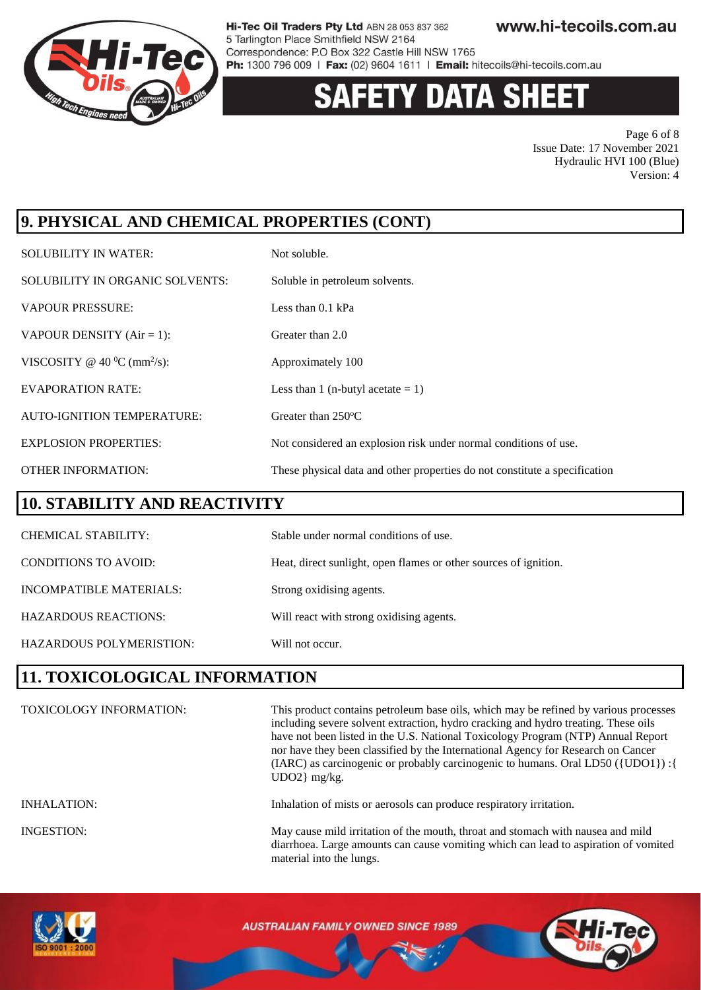

# 'Y DATA SHEET

Page 6 of 8 Issue Date: 17 November 2021 Hydraulic HVI 100 (Blue) Version: 4

# **9. PHYSICAL AND CHEMICAL PROPERTIES (CONT)**

| <b>SOLUBILITY IN WATER:</b>                | Not soluble.                                                               |
|--------------------------------------------|----------------------------------------------------------------------------|
| SOLUBILITY IN ORGANIC SOLVENTS:            | Soluble in petroleum solvents.                                             |
| <b>VAPOUR PRESSURE:</b>                    | Less than $0.1$ kPa                                                        |
| VAPOUR DENSITY $(Air = 1)$ :               | Greater than 2.0                                                           |
| VISCOSITY @ 40 $^0C$ (mm <sup>2</sup> /s): | Approximately 100                                                          |
| <b>EVAPORATION RATE:</b>                   | Less than 1 (n-butyl acetate $= 1$ )                                       |
| <b>AUTO-IGNITION TEMPERATURE:</b>          | Greater than $250^{\circ}$ C                                               |
| <b>EXPLOSION PROPERTIES:</b>               | Not considered an explosion risk under normal conditions of use.           |
| <b>OTHER INFORMATION:</b>                  | These physical data and other properties do not constitute a specification |

### **10. STABILITY AND REACTIVITY**

| <b>CHEMICAL STABILITY:</b>  | Stable under normal conditions of use.                           |
|-----------------------------|------------------------------------------------------------------|
| <b>CONDITIONS TO AVOID:</b> | Heat, direct sunlight, open flames or other sources of ignition. |
| INCOMPATIBLE MATERIALS:     | Strong oxidising agents.                                         |
| <b>HAZARDOUS REACTIONS:</b> | Will react with strong oxidising agents.                         |
| HAZARDOUS POLYMERISTION:    | Will not occur.                                                  |

### **11. TOXICOLOGICAL INFORMATION**

| <b>TOXICOLOGY INFORMATION:</b> | This product contains petroleum base oils, which may be refined by various processes<br>including severe solvent extraction, hydro cracking and hydro treating. These oils<br>have not been listed in the U.S. National Toxicology Program (NTP) Annual Report<br>nor have they been classified by the International Agency for Research on Cancer<br>(IARC) as carcinogenic or probably carcinogenic to humans. Oral LD50 ({UDO1}) : {<br>$UDO2$ } mg/kg. |
|--------------------------------|------------------------------------------------------------------------------------------------------------------------------------------------------------------------------------------------------------------------------------------------------------------------------------------------------------------------------------------------------------------------------------------------------------------------------------------------------------|
| <b>INHALATION:</b>             | Inhalation of mists or aerosols can produce respiratory irritation.                                                                                                                                                                                                                                                                                                                                                                                        |
| <b>INGESTION:</b>              | May cause mild irritation of the mouth, throat and stomach with nausea and mild<br>diarrhoea. Large amounts can cause vomiting which can lead to aspiration of vomited<br>material into the lungs.                                                                                                                                                                                                                                                         |

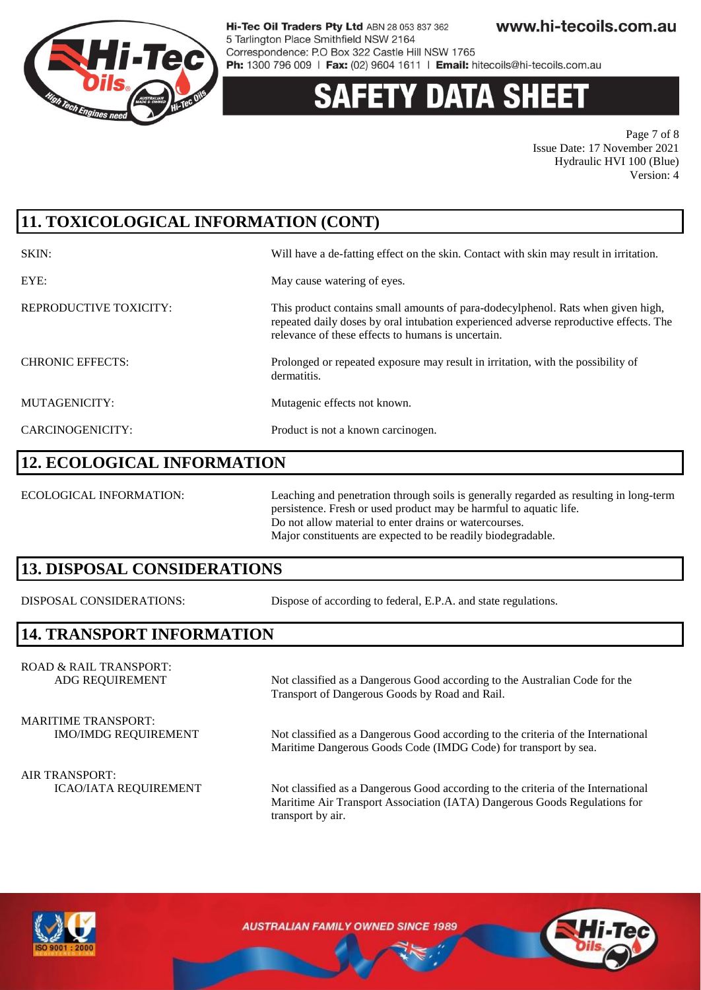

# 'Y DATA SH

Page 7 of 8 Issue Date: 17 November 2021 Hydraulic HVI 100 (Blue) Version: 4

# **11. TOXICOLOGICAL INFORMATION (CONT)**

| SKIN:                   | Will have a de-fatting effect on the skin. Contact with skin may result in irritation.                                                                                                                                          |
|-------------------------|---------------------------------------------------------------------------------------------------------------------------------------------------------------------------------------------------------------------------------|
| EYE:                    | May cause watering of eyes.                                                                                                                                                                                                     |
| REPRODUCTIVE TOXICITY:  | This product contains small amounts of para-dodecylphenol. Rats when given high,<br>repeated daily doses by oral intubation experienced adverse reproductive effects. The<br>relevance of these effects to humans is uncertain. |
| <b>CHRONIC EFFECTS:</b> | Prolonged or repeated exposure may result in irritation, with the possibility of<br>dermatitis.                                                                                                                                 |
| MUTAGENICITY:           | Mutagenic effects not known.                                                                                                                                                                                                    |
| CARCINOGENICITY:        | Product is not a known carcinogen.                                                                                                                                                                                              |

#### **12. ECOLOGICAL INFORMATION**

ECOLOGICAL INFORMATION: Leaching and penetration through soils is generally regarded as resulting in long-term persistence. Fresh or used product may be harmful to aquatic life. Do not allow material to enter drains or watercourses. Major constituents are expected to be readily biodegradable.

### **13. DISPOSAL CONSIDERATIONS**

DISPOSAL CONSIDERATIONS: Dispose of according to federal, E.P.A. and state regulations.

### **14. TRANSPORT INFORMATION**

ROAD & RAIL TRANSPORT: ADG REQUIREMENT Not classified as a Dangerous Good according to the Australian Code for the

MARITIME TRANSPORT:

IMO/IMDG REQUIREMENT Not classified as a Dangerous Good according to the criteria of the International Maritime Dangerous Goods Code (IMDG Code) for transport by sea.

ICAO/IATA REQUIREMENT Not classified as a Dangerous Good according to the criteria of the International Maritime Air Transport Association (IATA) Dangerous Goods Regulations for transport by air.

Transport of Dangerous Goods by Road and Rail.



AIR TRANSPORT: